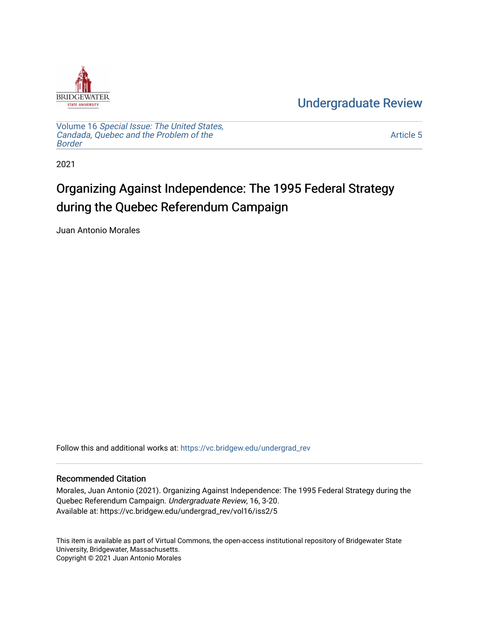

[Undergraduate Review](https://vc.bridgew.edu/undergrad_rev) 

Volume 16 [Special Issue: The United States,](https://vc.bridgew.edu/undergrad_rev/vol16)  [Candada, Quebec and the Problem of the](https://vc.bridgew.edu/undergrad_rev/vol16)  [Border](https://vc.bridgew.edu/undergrad_rev/vol16)

[Article 5](https://vc.bridgew.edu/undergrad_rev/vol16/iss2/5) 

2021

## Organizing Against Independence: The 1995 Federal Strategy during the Quebec Referendum Campaign

Juan Antonio Morales

Follow this and additional works at: [https://vc.bridgew.edu/undergrad\\_rev](https://vc.bridgew.edu/undergrad_rev?utm_source=vc.bridgew.edu%2Fundergrad_rev%2Fvol16%2Fiss2%2F5&utm_medium=PDF&utm_campaign=PDFCoverPages)

### Recommended Citation

Morales, Juan Antonio (2021). Organizing Against Independence: The 1995 Federal Strategy during the Quebec Referendum Campaign. Undergraduate Review, 16, 3-20. Available at: https://vc.bridgew.edu/undergrad\_rev/vol16/iss2/5

This item is available as part of Virtual Commons, the open-access institutional repository of Bridgewater State University, Bridgewater, Massachusetts. Copyright © 2021 Juan Antonio Morales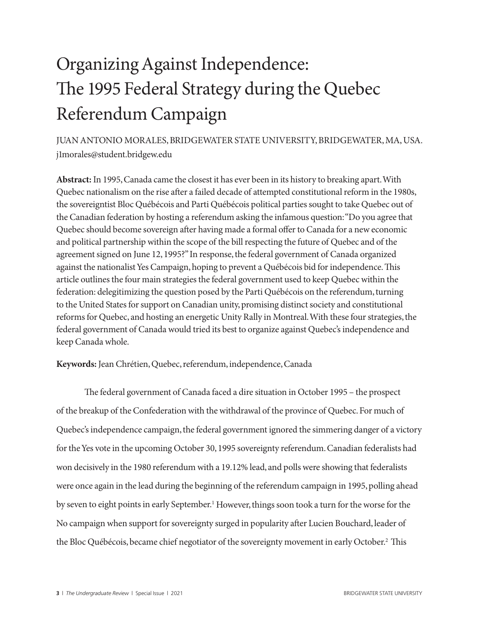# Organizing Against Independence: The 1995 Federal Strategy during the Quebec Referendum Campaign

JUAN ANTONIO MORALES, BRIDGEWATER STATE UNIVERSITY, BRIDGEWATER, MA, USA. j1morales@student.bridgew.edu

**Abstract:** In 1995, Canada came the closest it has ever been in its history to breaking apart. With Quebec nationalism on the rise after a failed decade of attempted constitutional reform in the 1980s, the sovereigntist Bloc Québécois and Parti Québécois political parties sought to take Quebec out of the Canadian federation by hosting a referendum asking the infamous question: "Do you agree that Quebec should become sovereign after having made a formal offer to Canada for a new economic and political partnership within the scope of the bill respecting the future of Quebec and of the agreement signed on June 12, 1995?" In response, the federal government of Canada organized against the nationalist Yes Campaign, hoping to prevent a Québécois bid for independence. This article outlines the four main strategies the federal government used to keep Quebec within the federation: delegitimizing the question posed by the Parti Québécois on the referendum, turning to the United States for support on Canadian unity, promising distinct society and constitutional reforms for Quebec, and hosting an energetic Unity Rally in Montreal. With these four strategies, the federal government of Canada would tried its best to organize against Quebec's independence and keep Canada whole.

**Keywords:** Jean Chrétien, Quebec, referendum, independence, Canada

The federal government of Canada faced a dire situation in October 1995 – the prospect of the breakup of the Confederation with the withdrawal of the province of Quebec. For much of Quebec's independence campaign, the federal government ignored the simmering danger of a victory for the Yes vote in the upcoming October 30, 1995 sovereignty referendum. Canadian federalists had won decisively in the 1980 referendum with a 19.12% lead, and polls were showing that federalists were once again in the lead during the beginning of the referendum campaign in 1995, polling ahead by seven to eight points in early September.<sup>1</sup> However, things soon took a turn for the worse for the No campaign when support for sovereignty surged in popularity after Lucien Bouchard, leader of the Bloc Québécois, became chief negotiator of the sovereignty movement in early October.2 This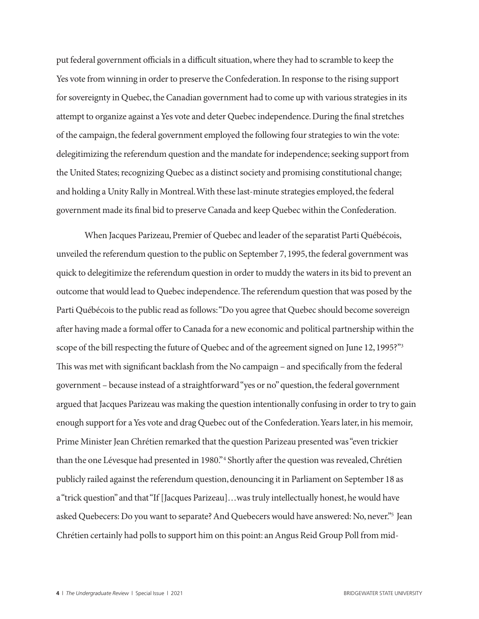put federal government officials in a difficult situation, where they had to scramble to keep the Yes vote from winning in order to preserve the Confederation. In response to the rising support for sovereignty in Quebec, the Canadian government had to come up with various strategies in its attempt to organize against a Yes vote and deter Quebec independence. During the final stretches of the campaign, the federal government employed the following four strategies to win the vote: delegitimizing the referendum question and the mandate for independence; seeking support from the United States; recognizing Quebec as a distinct society and promising constitutional change; and holding a Unity Rally in Montreal. With these last-minute strategies employed, the federal government made its final bid to preserve Canada and keep Quebec within the Confederation.

When Jacques Parizeau, Premier of Quebec and leader of the separatist Parti Québécois, unveiled the referendum question to the public on September 7, 1995, the federal government was quick to delegitimize the referendum question in order to muddy the waters in its bid to prevent an outcome that would lead to Quebec independence. The referendum question that was posed by the Parti Québécois to the public read as follows: "Do you agree that Quebec should become sovereign after having made a formal offer to Canada for a new economic and political partnership within the scope of the bill respecting the future of Quebec and of the agreement signed on June 12, 1995?"3 This was met with significant backlash from the No campaign – and specifically from the federal government – because instead of a straightforward "yes or no" question, the federal government argued that Jacques Parizeau was making the question intentionally confusing in order to try to gain enough support for a Yes vote and drag Quebec out of the Confederation. Years later, in his memoir, Prime Minister Jean Chrétien remarked that the question Parizeau presented was "even trickier than the one Lévesque had presented in 1980."4 Shortly after the question was revealed, Chrétien publicly railed against the referendum question, denouncing it in Parliament on September 18 as a "trick question" and that "If [Jacques Parizeau]…was truly intellectually honest, he would have asked Quebecers: Do you want to separate? And Quebecers would have answered: No, never."<sup>5</sup> Jean Chrétien certainly had polls to support him on this point: an Angus Reid Group Poll from mid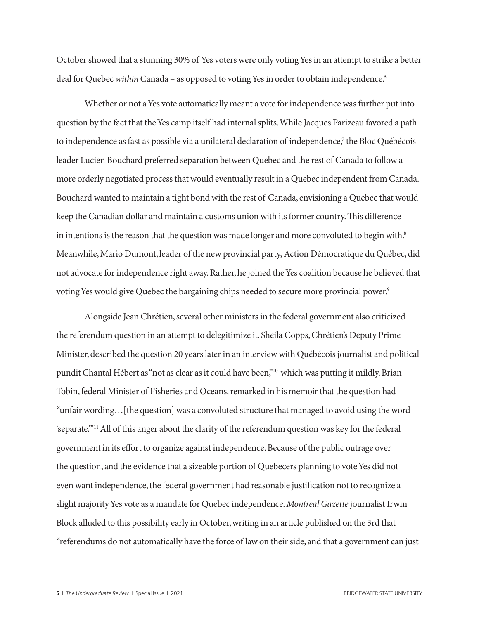October showed that a stunning 30% of Yes voters were only voting Yes in an attempt to strike a better deal for Quebec *within* Canada – as opposed to voting Yes in order to obtain independence.<sup>6</sup>

Whether or not a Yes vote automatically meant a vote for independence was further put into question by the fact that the Yes camp itself had internal splits. While Jacques Parizeau favored a path to independence as fast as possible via a unilateral declaration of independence,<sup>7</sup> the Bloc Québécois leader Lucien Bouchard preferred separation between Quebec and the rest of Canada to follow a more orderly negotiated process that would eventually result in a Quebec independent from Canada. Bouchard wanted to maintain a tight bond with the rest of Canada, envisioning a Quebec that would keep the Canadian dollar and maintain a customs union with its former country. This difference in intentions is the reason that the question was made longer and more convoluted to begin with.<sup>8</sup> Meanwhile, Mario Dumont, leader of the new provincial party, Action Démocratique du Québec, did not advocate for independence right away. Rather, he joined the Yes coalition because he believed that voting Yes would give Quebec the bargaining chips needed to secure more provincial power.<sup>9</sup>

Alongside Jean Chrétien, several other ministers in the federal government also criticized the referendum question in an attempt to delegitimize it. Sheila Copps, Chrétien's Deputy Prime Minister, described the question 20 years later in an interview with Québécois journalist and political pundit Chantal Hébert as "not as clear as it could have been,"<sup>10</sup> which was putting it mildly. Brian Tobin, federal Minister of Fisheries and Oceans, remarked in his memoir that the question had "unfair wording…[the question] was a convoluted structure that managed to avoid using the word 'separate.'"11 All of this anger about the clarity of the referendum question was key for the federal government in its effort to organize against independence. Because of the public outrage over the question, and the evidence that a sizeable portion of Quebecers planning to vote Yes did not even want independence, the federal government had reasonable justification not to recognize a slight majority Yes vote as a mandate for Quebec independence. *Montreal Gazette* journalist Irwin Block alluded to this possibility early in October, writing in an article published on the 3rd that "referendums do not automatically have the force of law on their side, and that a government can just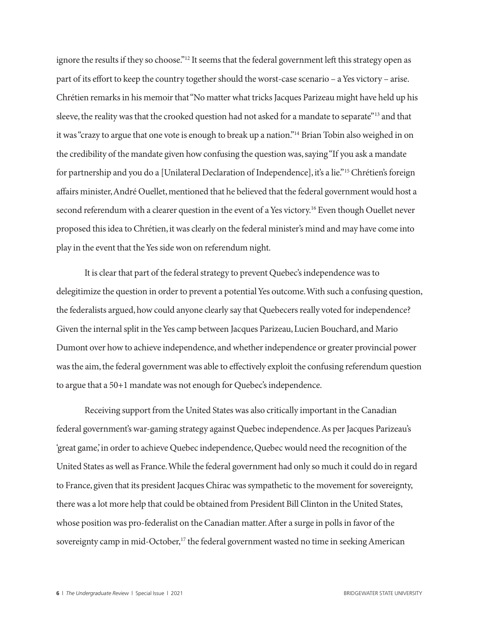ignore the results if they so choose."<sup>12</sup> It seems that the federal government left this strategy open as part of its effort to keep the country together should the worst-case scenario – a Yes victory – arise. Chrétien remarks in his memoir that "No matter what tricks Jacques Parizeau might have held up his sleeve, the reality was that the crooked question had not asked for a mandate to separate"13 and that it was "crazy to argue that one vote is enough to break up a nation."14 Brian Tobin also weighed in on the credibility of the mandate given how confusing the question was, saying "If you ask a mandate for partnership and you do a [Unilateral Declaration of Independence], it's a lie."15 Chrétien's foreign affairs minister, André Ouellet, mentioned that he believed that the federal government would host a second referendum with a clearer question in the event of a Yes victory.<sup>16</sup> Even though Ouellet never proposed this idea to Chrétien, it was clearly on the federal minister's mind and may have come into play in the event that the Yes side won on referendum night.

It is clear that part of the federal strategy to prevent Quebec's independence was to delegitimize the question in order to prevent a potential Yes outcome. With such a confusing question, the federalists argued, how could anyone clearly say that Quebecers really voted for independence? Given the internal split in the Yes camp between Jacques Parizeau, Lucien Bouchard, and Mario Dumont over how to achieve independence, and whether independence or greater provincial power was the aim, the federal government was able to effectively exploit the confusing referendum question to argue that a 50+1 mandate was not enough for Quebec's independence.

Receiving support from the United States was also critically important in the Canadian federal government's war-gaming strategy against Quebec independence. As per Jacques Parizeau's 'great game,' in order to achieve Quebec independence, Quebec would need the recognition of the United States as well as France. While the federal government had only so much it could do in regard to France, given that its president Jacques Chirac was sympathetic to the movement for sovereignty, there was a lot more help that could be obtained from President Bill Clinton in the United States, whose position was pro-federalist on the Canadian matter. After a surge in polls in favor of the sovereignty camp in mid-October,<sup>17</sup> the federal government wasted no time in seeking American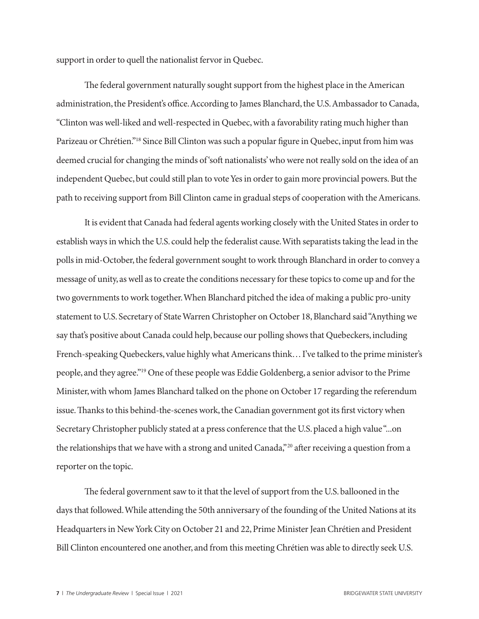support in order to quell the nationalist fervor in Quebec.

The federal government naturally sought support from the highest place in the American administration, the President's office. According to James Blanchard, the U.S. Ambassador to Canada, "Clinton was well-liked and well-respected in Quebec, with a favorability rating much higher than Parizeau or Chrétien."18 Since Bill Clinton was such a popular figure in Quebec, input from him was deemed crucial for changing the minds of 'soft nationalists' who were not really sold on the idea of an independent Quebec, but could still plan to vote Yes in order to gain more provincial powers. But the path to receiving support from Bill Clinton came in gradual steps of cooperation with the Americans.

It is evident that Canada had federal agents working closely with the United States in order to establish ways in which the U.S. could help the federalist cause. With separatists taking the lead in the polls in mid-October, the federal government sought to work through Blanchard in order to convey a message of unity, as well as to create the conditions necessary for these topics to come up and for the two governments to work together. When Blanchard pitched the idea of making a public pro-unity statement to U.S. Secretary of State Warren Christopher on October 18, Blanchard said "Anything we say that's positive about Canada could help, because our polling shows that Quebeckers, including French-speaking Quebeckers, value highly what Americans think… I've talked to the prime minister's people, and they agree."19 One of these people was Eddie Goldenberg, a senior advisor to the Prime Minister, with whom James Blanchard talked on the phone on October 17 regarding the referendum issue. Thanks to this behind-the-scenes work, the Canadian government got its first victory when Secretary Christopher publicly stated at a press conference that the U.S. placed a high value "...on the relationships that we have with a strong and united Canada,"20 after receiving a question from a reporter on the topic.

The federal government saw to it that the level of support from the U.S. ballooned in the days that followed. While attending the 50th anniversary of the founding of the United Nations at its Headquarters in New York City on October 21 and 22, Prime Minister Jean Chrétien and President Bill Clinton encountered one another, and from this meeting Chrétien was able to directly seek U.S.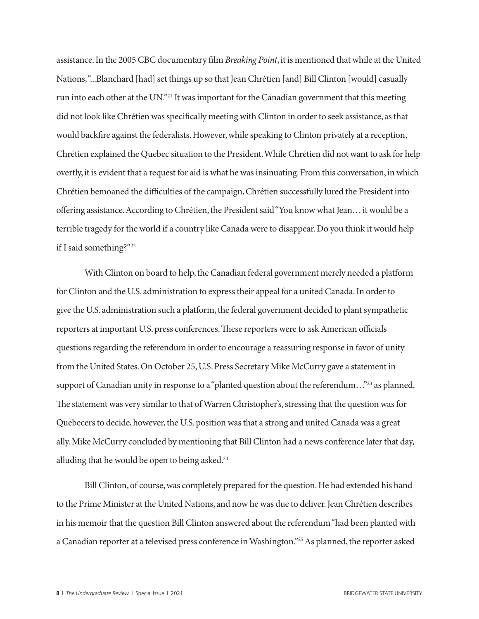assistance. In the 2005 CBC documentary film *Breaking Point*, it is mentioned that while at the United Nations, "...Blanchard [had] set things up so that Jean Chrétien [and] Bill Clinton [would] casually run into each other at the UN."21 It was important for the Canadian government that this meeting did not look like Chrétien was specifically meeting with Clinton in order to seek assistance, as that would backfire against the federalists. However, while speaking to Clinton privately at a reception, Chrétien explained the Quebec situation to the President. While Chrétien did not want to ask for help overtly, it is evident that a request for aid is what he was insinuating. From this conversation, in which Chrétien bemoaned the difficulties of the campaign, Chrétien successfully lured the President into offering assistance. According to Chrétien, the President said "You know what Jean… it would be a terrible tragedy for the world if a country like Canada were to disappear. Do you think it would help if I said something?"22

With Clinton on board to help, the Canadian federal government merely needed a platform for Clinton and the U.S. administration to express their appeal for a united Canada. In order to give the U.S. administration such a platform, the federal government decided to plant sympathetic reporters at important U.S. press conferences. These reporters were to ask American officials questions regarding the referendum in order to encourage a reassuring response in favor of unity from the United States. On October 25, U.S. Press Secretary Mike McCurry gave a statement in support of Canadian unity in response to a "planted question about the referendum..."<sup>23</sup> as planned. The statement was very similar to that of Warren Christopher's, stressing that the question was for Quebecers to decide, however, the U.S. position was that a strong and united Canada was a great ally. Mike McCurry concluded by mentioning that Bill Clinton had a news conference later that day, alluding that he would be open to being asked.<sup>24</sup>

Bill Clinton, of course, was completely prepared for the question. He had extended his hand to the Prime Minister at the United Nations, and now he was due to deliver. Jean Chrétien describes in his memoir that the question Bill Clinton answered about the referendum "had been planted with a Canadian reporter at a televised press conference in Washington."25 As planned, the reporter asked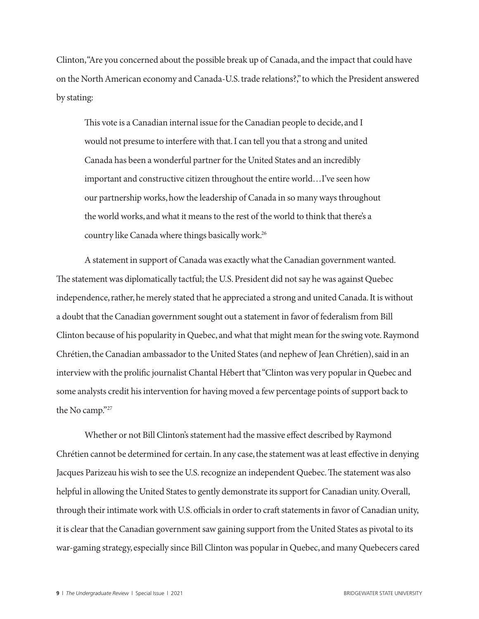Clinton, "Are you concerned about the possible break up of Canada, and the impact that could have on the North American economy and Canada-U.S. trade relations?," to which the President answered by stating:

This vote is a Canadian internal issue for the Canadian people to decide, and I would not presume to interfere with that. I can tell you that a strong and united Canada has been a wonderful partner for the United States and an incredibly important and constructive citizen throughout the entire world…I've seen how our partnership works, how the leadership of Canada in so many ways throughout the world works, and what it means to the rest of the world to think that there's a country like Canada where things basically work.26

A statement in support of Canada was exactly what the Canadian government wanted. The statement was diplomatically tactful; the U.S. President did not say he was against Quebec independence, rather, he merely stated that he appreciated a strong and united Canada. It is without a doubt that the Canadian government sought out a statement in favor of federalism from Bill Clinton because of his popularity in Quebec, and what that might mean for the swing vote. Raymond Chrétien, the Canadian ambassador to the United States (and nephew of Jean Chrétien), said in an interview with the prolific journalist Chantal Hébert that "Clinton was very popular in Quebec and some analysts credit his intervention for having moved a few percentage points of support back to the No camp."27

Whether or not Bill Clinton's statement had the massive effect described by Raymond Chrétien cannot be determined for certain. In any case, the statement was at least effective in denying Jacques Parizeau his wish to see the U.S. recognize an independent Quebec. The statement was also helpful in allowing the United States to gently demonstrate its support for Canadian unity. Overall, through their intimate work with U.S. officials in order to craft statements in favor of Canadian unity, it is clear that the Canadian government saw gaining support from the United States as pivotal to its war-gaming strategy, especially since Bill Clinton was popular in Quebec, and many Quebecers cared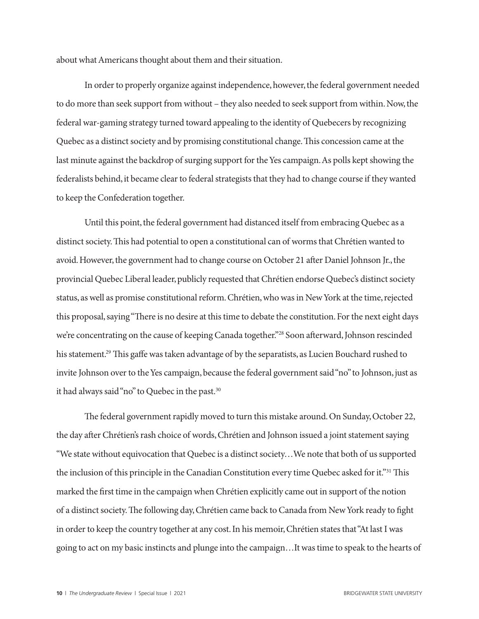about what Americans thought about them and their situation.

In order to properly organize against independence, however, the federal government needed to do more than seek support from without – they also needed to seek support from within. Now, the federal war-gaming strategy turned toward appealing to the identity of Quebecers by recognizing Quebec as a distinct society and by promising constitutional change. This concession came at the last minute against the backdrop of surging support for the Yes campaign. As polls kept showing the federalists behind, it became clear to federal strategists that they had to change course if they wanted to keep the Confederation together.

Until this point, the federal government had distanced itself from embracing Quebec as a distinct society. This had potential to open a constitutional can of worms that Chrétien wanted to avoid. However, the government had to change course on October 21 after Daniel Johnson Jr., the provincial Quebec Liberal leader, publicly requested that Chrétien endorse Quebec's distinct society status, as well as promise constitutional reform. Chrétien, who was in New York at the time, rejected this proposal, saying "There is no desire at this time to debate the constitution. For the next eight days we're concentrating on the cause of keeping Canada together."28 Soon afterward, Johnson rescinded his statement.<sup>29</sup> This gaffe was taken advantage of by the separatists, as Lucien Bouchard rushed to invite Johnson over to the Yes campaign, because the federal government said "no" to Johnson, just as it had always said "no" to Quebec in the past.30

The federal government rapidly moved to turn this mistake around. On Sunday, October 22, the day after Chrétien's rash choice of words, Chrétien and Johnson issued a joint statement saying "We state without equivocation that Quebec is a distinct society…We note that both of us supported the inclusion of this principle in the Canadian Constitution every time Quebec asked for it."31 This marked the first time in the campaign when Chrétien explicitly came out in support of the notion of a distinct society. The following day, Chrétien came back to Canada from New York ready to fight in order to keep the country together at any cost. In his memoir, Chrétien states that "At last I was going to act on my basic instincts and plunge into the campaign…It was time to speak to the hearts of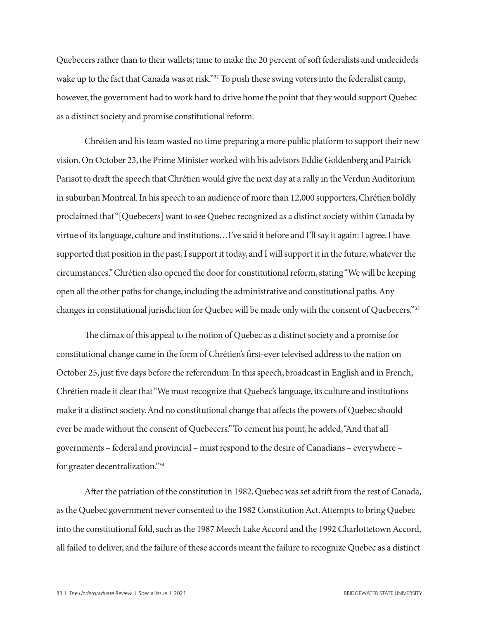Quebecers rather than to their wallets; time to make the 20 percent of soft federalists and undecideds wake up to the fact that Canada was at risk."<sup>32</sup> To push these swing voters into the federalist camp, however, the government had to work hard to drive home the point that they would support Quebec as a distinct society and promise constitutional reform.

Chrétien and his team wasted no time preparing a more public platform to support their new vision. On October 23, the Prime Minister worked with his advisors Eddie Goldenberg and Patrick Parisot to draft the speech that Chrétien would give the next day at a rally in the Verdun Auditorium in suburban Montreal. In his speech to an audience of more than 12,000 supporters, Chrétien boldly proclaimed that "[Quebecers] want to see Quebec recognized as a distinct society within Canada by virtue of its language, culture and institutions…I've said it before and I'll say it again: I agree. I have supported that position in the past, I support it today, and I will support it in the future, whatever the circumstances." Chrétien also opened the door for constitutional reform, stating "We will be keeping open all the other paths for change, including the administrative and constitutional paths. Any changes in constitutional jurisdiction for Quebec will be made only with the consent of Quebecers."33

The climax of this appeal to the notion of Quebec as a distinct society and a promise for constitutional change came in the form of Chrétien's first-ever televised address to the nation on October 25, just five days before the referendum. In this speech, broadcast in English and in French, Chrétien made it clear that "We must recognize that Quebec's language, its culture and institutions make it a distinct society. And no constitutional change that affects the powers of Quebec should ever be made without the consent of Quebecers." To cement his point, he added, "And that all governments – federal and provincial – must respond to the desire of Canadians – everywhere – for greater decentralization."34

After the patriation of the constitution in 1982, Quebec was set adrift from the rest of Canada, as the Quebec government never consented to the 1982 Constitution Act. Attempts to bring Quebec into the constitutional fold, such as the 1987 Meech Lake Accord and the 1992 Charlottetown Accord, all failed to deliver, and the failure of these accords meant the failure to recognize Quebec as a distinct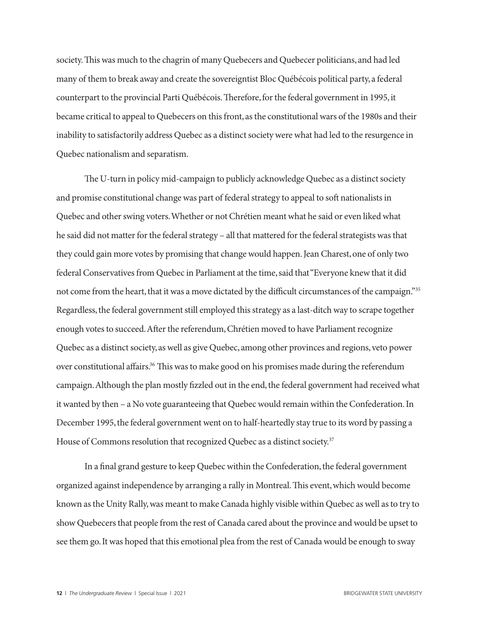society. This was much to the chagrin of many Quebecers and Quebecer politicians, and had led many of them to break away and create the sovereigntist Bloc Québécois political party, a federal counterpart to the provincial Parti Québécois. Therefore, for the federal government in 1995, it became critical to appeal to Quebecers on this front, as the constitutional wars of the 1980s and their inability to satisfactorily address Quebec as a distinct society were what had led to the resurgence in Quebec nationalism and separatism.

The U-turn in policy mid-campaign to publicly acknowledge Quebec as a distinct society and promise constitutional change was part of federal strategy to appeal to soft nationalists in Quebec and other swing voters. Whether or not Chrétien meant what he said or even liked what he said did not matter for the federal strategy – all that mattered for the federal strategists was that they could gain more votes by promising that change would happen. Jean Charest, one of only two federal Conservatives from Quebec in Parliament at the time, said that "Everyone knew that it did not come from the heart, that it was a move dictated by the difficult circumstances of the campaign."35 Regardless, the federal government still employed this strategy as a last-ditch way to scrape together enough votes to succeed. After the referendum, Chrétien moved to have Parliament recognize Quebec as a distinct society, as well as give Quebec, among other provinces and regions, veto power over constitutional affairs.<sup>36</sup> This was to make good on his promises made during the referendum campaign. Although the plan mostly fizzled out in the end, the federal government had received what it wanted by then – a No vote guaranteeing that Quebec would remain within the Confederation. In December 1995, the federal government went on to half-heartedly stay true to its word by passing a House of Commons resolution that recognized Quebec as a distinct society.<sup>37</sup>

In a final grand gesture to keep Quebec within the Confederation, the federal government organized against independence by arranging a rally in Montreal. This event, which would become known as the Unity Rally, was meant to make Canada highly visible within Quebec as well as to try to show Quebecers that people from the rest of Canada cared about the province and would be upset to see them go. It was hoped that this emotional plea from the rest of Canada would be enough to sway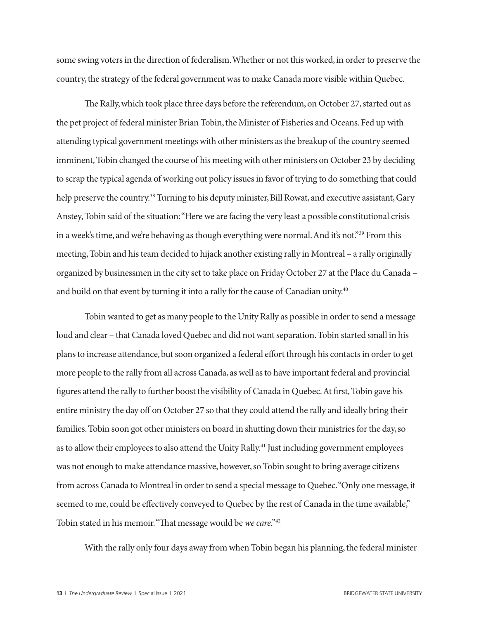some swing voters in the direction of federalism. Whether or not this worked, in order to preserve the country, the strategy of the federal government was to make Canada more visible within Quebec.

The Rally, which took place three days before the referendum, on October 27, started out as the pet project of federal minister Brian Tobin, the Minister of Fisheries and Oceans. Fed up with attending typical government meetings with other ministers as the breakup of the country seemed imminent, Tobin changed the course of his meeting with other ministers on October 23 by deciding to scrap the typical agenda of working out policy issues in favor of trying to do something that could help preserve the country.<sup>38</sup> Turning to his deputy minister, Bill Rowat, and executive assistant, Gary Anstey, Tobin said of the situation: "Here we are facing the very least a possible constitutional crisis in a week's time, and we're behaving as though everything were normal. And it's not."<sup>39</sup> From this meeting, Tobin and his team decided to hijack another existing rally in Montreal – a rally originally organized by businessmen in the city set to take place on Friday October 27 at the Place du Canada – and build on that event by turning it into a rally for the cause of Canadian unity.<sup>40</sup>

Tobin wanted to get as many people to the Unity Rally as possible in order to send a message loud and clear – that Canada loved Quebec and did not want separation. Tobin started small in his plans to increase attendance, but soon organized a federal effort through his contacts in order to get more people to the rally from all across Canada, as well as to have important federal and provincial figures attend the rally to further boost the visibility of Canada in Quebec. At first, Tobin gave his entire ministry the day off on October 27 so that they could attend the rally and ideally bring their families. Tobin soon got other ministers on board in shutting down their ministries for the day, so as to allow their employees to also attend the Unity Rally.<sup>41</sup> Just including government employees was not enough to make attendance massive, however, so Tobin sought to bring average citizens from across Canada to Montreal in order to send a special message to Quebec. "Only one message, it seemed to me, could be effectively conveyed to Quebec by the rest of Canada in the time available," Tobin stated in his memoir. "That message would be *we care*."42

With the rally only four days away from when Tobin began his planning, the federal minister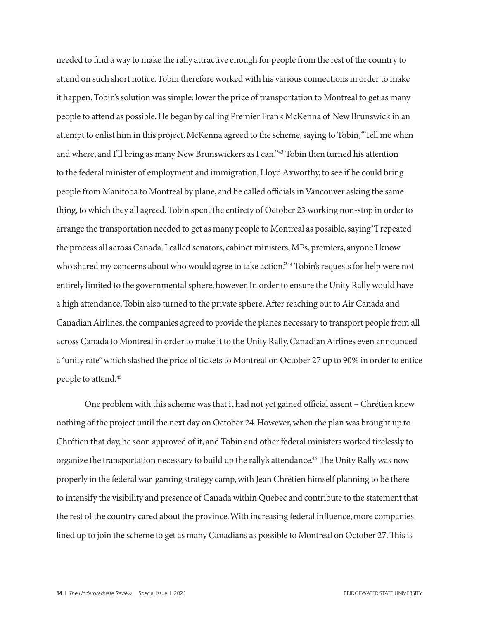needed to find a way to make the rally attractive enough for people from the rest of the country to attend on such short notice. Tobin therefore worked with his various connections in order to make it happen. Tobin's solution was simple: lower the price of transportation to Montreal to get as many people to attend as possible. He began by calling Premier Frank McKenna of New Brunswick in an attempt to enlist him in this project. McKenna agreed to the scheme, saying to Tobin, "Tell me when and where, and I'll bring as many New Brunswickers as I can."43 Tobin then turned his attention to the federal minister of employment and immigration, Lloyd Axworthy, to see if he could bring people from Manitoba to Montreal by plane, and he called officials in Vancouver asking the same thing, to which they all agreed. Tobin spent the entirety of October 23 working non-stop in order to arrange the transportation needed to get as many people to Montreal as possible, saying "I repeated the process all across Canada. I called senators, cabinet ministers, MPs, premiers, anyone I know who shared my concerns about who would agree to take action."<sup>44</sup> Tobin's requests for help were not entirely limited to the governmental sphere, however. In order to ensure the Unity Rally would have a high attendance, Tobin also turned to the private sphere. After reaching out to Air Canada and Canadian Airlines, the companies agreed to provide the planes necessary to transport people from all across Canada to Montreal in order to make it to the Unity Rally. Canadian Airlines even announced a "unity rate" which slashed the price of tickets to Montreal on October 27 up to 90% in order to entice people to attend.45

One problem with this scheme was that it had not yet gained official assent – Chrétien knew nothing of the project until the next day on October 24. However, when the plan was brought up to Chrétien that day, he soon approved of it, and Tobin and other federal ministers worked tirelessly to organize the transportation necessary to build up the rally's attendance.<sup>46</sup> The Unity Rally was now properly in the federal war-gaming strategy camp, with Jean Chrétien himself planning to be there to intensify the visibility and presence of Canada within Quebec and contribute to the statement that the rest of the country cared about the province. With increasing federal influence, more companies lined up to join the scheme to get as many Canadians as possible to Montreal on October 27. This is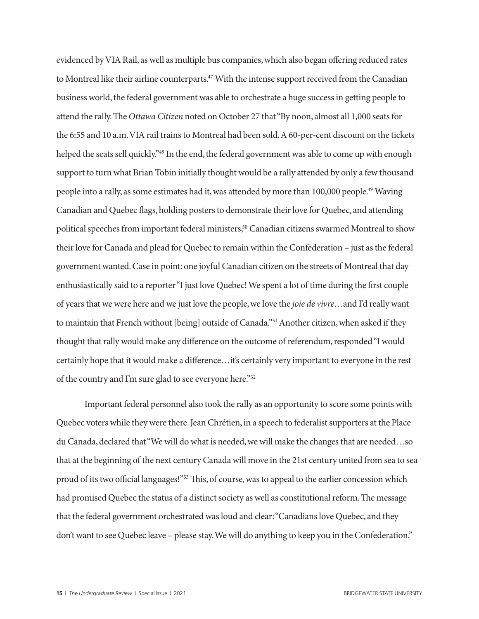evidenced by VIA Rail, as well as multiple bus companies, which also began offering reduced rates to Montreal like their airline counterparts.<sup>47</sup> With the intense support received from the Canadian business world, the federal government was able to orchestrate a huge success in getting people to attend the rally. The *Ottawa Citizen* noted on October 27 that "By noon, almost all 1,000 seats for the 6:55 and 10 a.m. VIA rail trains to Montreal had been sold. A 60-per-cent discount on the tickets helped the seats sell quickly."<sup>48</sup> In the end, the federal government was able to come up with enough support to turn what Brian Tobin initially thought would be a rally attended by only a few thousand people into a rally, as some estimates had it, was attended by more than 100,000 people.49 Waving Canadian and Quebec flags, holding posters to demonstrate their love for Quebec, and attending political speeches from important federal ministers,<sup>50</sup> Canadian citizens swarmed Montreal to show their love for Canada and plead for Quebec to remain within the Confederation – just as the federal government wanted. Case in point: one joyful Canadian citizen on the streets of Montreal that day enthusiastically said to a reporter "I just love Quebec! We spent a lot of time during the first couple of years that we were here and we just love the people, we love the *joie de vivre*…and I'd really want to maintain that French without [being] outside of Canada."51 Another citizen, when asked if they thought that rally would make any difference on the outcome of referendum, responded "I would certainly hope that it would make a difference…it's certainly very important to everyone in the rest of the country and I'm sure glad to see everyone here."52

Important federal personnel also took the rally as an opportunity to score some points with Quebec voters while they were there. Jean Chrétien, in a speech to federalist supporters at the Place du Canada, declared that "We will do what is needed, we will make the changes that are needed…so that at the beginning of the next century Canada will move in the 21st century united from sea to sea proud of its two official languages!"53 This, of course, was to appeal to the earlier concession which had promised Quebec the status of a distinct society as well as constitutional reform. The message that the federal government orchestrated was loud and clear: "Canadians love Quebec, and they don't want to see Quebec leave – please stay. We will do anything to keep you in the Confederation."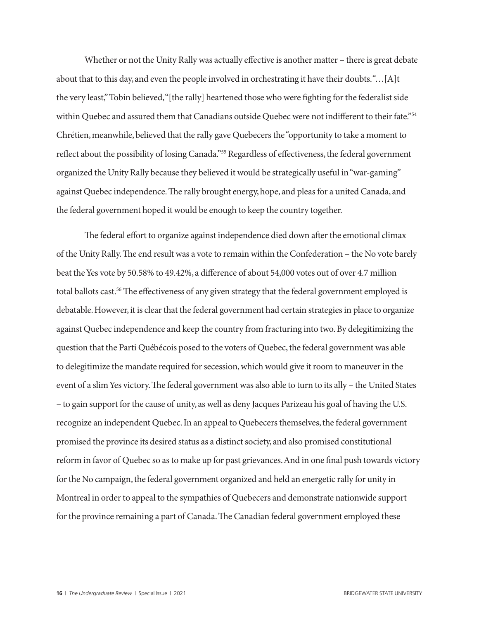Whether or not the Unity Rally was actually effective is another matter – there is great debate about that to this day, and even the people involved in orchestrating it have their doubts. "…[A]t the very least," Tobin believed, "[the rally] heartened those who were fighting for the federalist side within Quebec and assured them that Canadians outside Quebec were not indifferent to their fate."54 Chrétien, meanwhile, believed that the rally gave Quebecers the "opportunity to take a moment to reflect about the possibility of losing Canada."55 Regardless of effectiveness, the federal government organized the Unity Rally because they believed it would be strategically useful in "war-gaming" against Quebec independence. The rally brought energy, hope, and pleas for a united Canada, and the federal government hoped it would be enough to keep the country together.

The federal effort to organize against independence died down after the emotional climax of the Unity Rally. The end result was a vote to remain within the Confederation – the No vote barely beat the Yes vote by 50.58% to 49.42%, a difference of about 54,000 votes out of over 4.7 million total ballots cast.<sup>56</sup> The effectiveness of any given strategy that the federal government employed is debatable. However, it is clear that the federal government had certain strategies in place to organize against Quebec independence and keep the country from fracturing into two. By delegitimizing the question that the Parti Québécois posed to the voters of Quebec, the federal government was able to delegitimize the mandate required for secession, which would give it room to maneuver in the event of a slim Yes victory. The federal government was also able to turn to its ally – the United States – to gain support for the cause of unity, as well as deny Jacques Parizeau his goal of having the U.S. recognize an independent Quebec. In an appeal to Quebecers themselves, the federal government promised the province its desired status as a distinct society, and also promised constitutional reform in favor of Quebec so as to make up for past grievances. And in one final push towards victory for the No campaign, the federal government organized and held an energetic rally for unity in Montreal in order to appeal to the sympathies of Quebecers and demonstrate nationwide support for the province remaining a part of Canada. The Canadian federal government employed these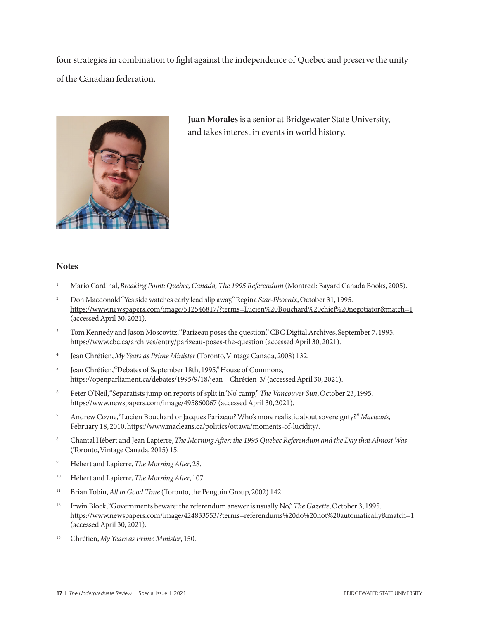four strategies in combination to fight against the independence of Quebec and preserve the unity of the Canadian federation.



**Juan Morales** is a senior at Bridgewater State University, and takes interest in events in world history.

### **Notes**

- <sup>1</sup> Mario Cardinal, *Breaking Point: Quebec, Canada, The 1995 Referendum* (Montreal: Bayard Canada Books, 2005).
- <sup>2</sup> Don Macdonald "Yes side watches early lead slip away," Regina *Star-Phoenix*, October 31, 1995. https://www.newspapers.com/image/512546817/?terms=Lucien%20Bouchard%20chief%20negotiator&match=1 (accessed April 30, 2021).
- <sup>3</sup> Tom Kennedy and Jason Moscovitz, "Parizeau poses the question," CBC Digital Archives, September 7, 1995. https://www.cbc.ca/archives/entry/parizeau-poses-the-question (accessed April 30, 2021).
- <sup>4</sup> Jean Chrétien, *My Years as Prime Minister* (Toronto, Vintage Canada, 2008) 132.
- <sup>5</sup> Jean Chrétien, "Debates of September 18th, 1995," House of Commons, https://openparliament.ca/debates/1995/9/18/jean – Chrétien-3/ (accessed April 30, 2021).
- <sup>6</sup> Peter O'Neil, "Separatists jump on reports of split in 'No' camp," *The Vancouver Sun*, October 23, 1995. https://www.newspapers.com/image/495860067 (accessed April 30, 2021).
- <sup>7</sup> Andrew Coyne, "Lucien Bouchard or Jacques Parizeau? Who's more realistic about sovereignty?" *Maclean's*, February 18, 2010. https://www.macleans.ca/politics/ottawa/moments-of-lucidity/.
- <sup>8</sup> Chantal Hébert and Jean Lapierre, *The Morning After: the 1995 Quebec Referendum and the Day that Almost Was* (Toronto, Vintage Canada, 2015) 15.
- <sup>9</sup> Hébert and Lapierre, *The Morning After*, 28.
- <sup>10</sup> Hébert and Lapierre, *The Morning After*, 107.
- <sup>11</sup> Brian Tobin, *All in Good Time* (Toronto, the Penguin Group, 2002) 142.
- <sup>12</sup> Irwin Block, "Governments beware: the referendum answer is usually No," *The Gazette*, October 3, 1995. https://www.newspapers.com/image/424833553/?terms=referendums%20do%20not%20automatically&match=1 (accessed April 30, 2021).
- <sup>13</sup> Chrétien, *My Years as Prime Minister*, 150.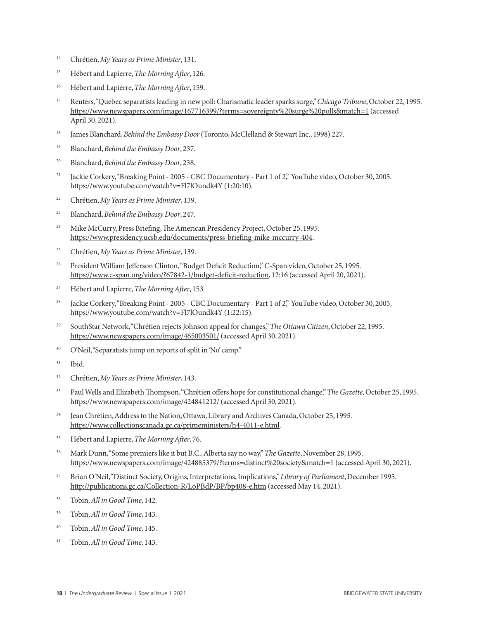- <sup>14</sup> Chrétien, *My Years as Prime Minister*, 131.
- <sup>15</sup> Hébert and Lapierre, *The Morning After*, 126.
- <sup>16</sup> Hébert and Lapierre, *The Morning After*, 159.
- <sup>17</sup> Reuters, "Quebec separatists leading in new poll: Charismatic leader sparks surge," *Chicago Tribune*, October 22, 1995. https://www.newspapers.com/image/167716399/?terms=sovereignty%20surge%20polls&match=1 (accessed April 30, 2021).
- <sup>18</sup> James Blanchard, *Behind the Embassy Door* (Toronto, McClelland & Stewart Inc., 1998) 227.
- <sup>19</sup> Blanchard, *Behind the Embassy Door*, 237.
- <sup>20</sup> Blanchard, *Behind the Embassy Door*, 238.
- <sup>21</sup> Jackie Corkery, "Breaking Point 2005 CBC Documentary Part 1 of 2," YouTube video, October 30, 2005. https://www.youtube.com/watch?v=Fl7lOundk4Y (1:20:10).
- <sup>22</sup> Chrétien, *My Years as Prime Minister*, 139.
- <sup>23</sup> Blanchard, *Behind the Embassy Door*, 247.
- <sup>24</sup> Mike McCurry, Press Briefing, The American Presidency Project, October 25, 1995. https://www.presidency.ucsb.edu/documents/press-briefing-mike-mccurry-404.
- <sup>25</sup> Chrétien, *My Years as Prime Minister*, 139.
- <sup>26</sup> President William Jefferson Clinton, "Budget Deficit Reduction," C-Span video, October 25, 1995. https://www.c-span.org/video/?67842-1/budget-deficit-reduction, 12:16 (accessed April 20, 2021).
- <sup>27</sup> Hébert and Lapierre, *The Morning After*, 153.
- <sup>28</sup> Jackie Corkery, "Breaking Point 2005 CBC Documentary Part 1 of 2," YouTube video, October 30, 2005, https://www.youtube.com/watch?v=Fl7lOundk4Y (1:22:15).
- <sup>29</sup> SouthStar Network, "Chrétien rejects Johnson appeal for changes," *The Ottawa Citizen*, October 22, 1995. https://www.newspapers.com/image/465003501/ (accessed April 30, 2021).
- <sup>30</sup> O'Neil, "Separatists jump on reports of split in 'No' camp."
- <sup>31</sup> Ibid.
- <sup>32</sup> Chrétien, *My Years as Prime Minister*, 143.
- <sup>33</sup> Paul Wells and Elizabeth Thompson, "Chrétien offers hope for constitutional change," *The Gazette*, October 25, 1995. https://www.newspapers.com/image/424841212/ (accessed April 30, 2021).
- <sup>34</sup> Jean Chrétien, Address to the Nation, Ottawa, Library and Archives Canada, October 25, 1995. https://www.collectionscanada.gc.ca/primeministers/h4-4011-e.html.
- <sup>35</sup> Hébert and Lapierre, *The Morning After*, 76.
- <sup>36</sup> Mark Dunn, "Some premiers like it but B.C., Alberta say no way," *The Gazette*, November 28, 1995. https://www.newspapers.com/image/424885379/?terms=distinct%20society&match=1 (accessed April 30, 2021).
- <sup>37</sup> Brian O'Neil, "Distinct Society, Origins, Interpretations, Implications," *Library of Parliament*, December 1995. http://publications.gc.ca/Collection-R/LoPBdP/BP/bp408-e.htm (accessed May 14, 2021).
- <sup>38</sup> Tobin, *All in Good Time*, 142.
- <sup>39</sup> Tobin, *All in Good Time*, 143.
- <sup>40</sup> Tobin, *All in Good Time*, 145.
- <sup>41</sup> Tobin, *All in Good Time*, 143.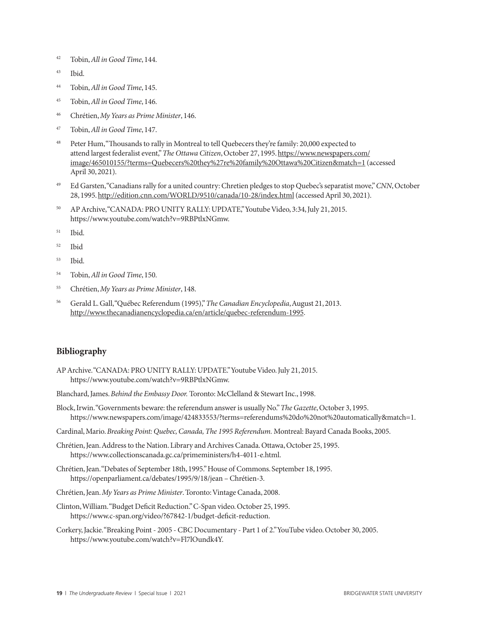- <sup>42</sup> Tobin, *All in Good Time*, 144.
- <sup>43</sup> Ibid.
- <sup>44</sup> Tobin, *All in Good Time*, 145.
- <sup>45</sup> Tobin, *All in Good Time*, 146.
- <sup>46</sup> Chrétien, *My Years as Prime Minister*, 146.
- <sup>47</sup> Tobin, *All in Good Time*, 147.
- <sup>48</sup> Peter Hum, "Thousands to rally in Montreal to tell Quebecers they're family: 20,000 expected to attend largest federalist event," *The Ottawa Citizen*, October 27, 1995. https://www.newspapers.com/ image/465010155/?terms=Quebecers%20they%27re%20family%20Ottawa%20Citizen&match=1 (accessed April 30, 2021).
- <sup>49</sup> Ed Garsten, "Canadians rally for a united country: Chretien pledges to stop Quebec's separatist move," *CNN*, October 28, 1995. http://edition.cnn.com/WORLD/9510/canada/10-28/index.html (accessed April 30, 2021).
- <sup>50</sup> AP Archive, "CANADA: PRO UNITY RALLY: UPDATE," Youtube Video, 3:34, July 21, 2015. https://www.youtube.com/watch?v=9RBPtlxNGmw.
- <sup>51</sup> Ibid.
- <sup>52</sup> Ibid
- <sup>53</sup> Ibid.
- <sup>54</sup> Tobin, *All in Good Time*, 150.
- <sup>55</sup> Chrétien, *My Years as Prime Minister*, 148.
- <sup>56</sup> Gerald L. Gall, "Québec Referendum (1995)," *The Canadian Encyclopedia*, August 21, 2013. http://www.thecanadianencyclopedia.ca/en/article/quebec-referendum-1995.

#### **Bibliography**

AP Archive. "CANADA: PRO UNITY RALLY: UPDATE." Youtube Video. July 21, 2015. https://www.youtube.com/watch?v=9RBPtlxNGmw.

Blanchard, James. *Behind the Embassy Door.* Toronto: McClelland & Stewart Inc., 1998.

- Block, Irwin. "Governments beware: the referendum answer is usually No." *The Gazette*, October 3, 1995. https://www.newspapers.com/image/424833553/?terms=referendums%20do%20not%20automatically&match=1.
- Cardinal, Mario. *Breaking Point: Quebec, Canada, The 1995 Referendum.* Montreal: Bayard Canada Books, 2005.
- Chrétien, Jean. Address to the Nation. Library and Archives Canada. Ottawa, October 25, 1995. https://www.collectionscanada.gc.ca/primeministers/h4-4011-e.html.
- Chrétien, Jean. "Debates of September 18th, 1995." House of Commons. September 18, 1995. https://openparliament.ca/debates/1995/9/18/jean – Chrétien-3.
- Chrétien, Jean. *My Years as Prime Minister*. Toronto: Vintage Canada, 2008.
- Clinton, William. "Budget Deficit Reduction." C-Span video. October 25, 1995. https://www.c-span.org/video/?67842-1/budget-deficit-reduction.
- Corkery, Jackie. "Breaking Point 2005 CBC Documentary Part 1 of 2." YouTube video. October 30, 2005. https://www.youtube.com/watch?v=Fl7lOundk4Y.